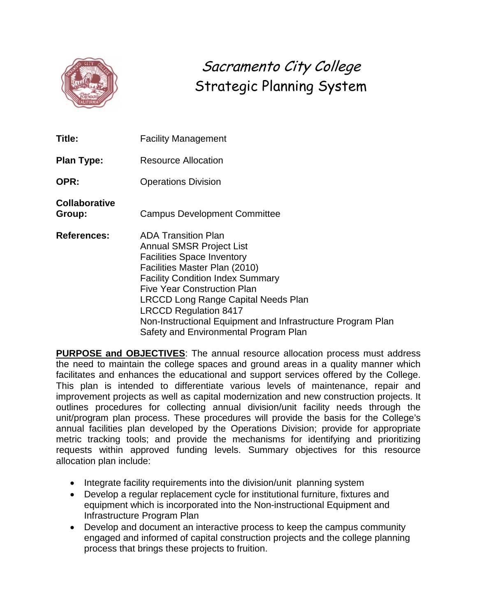

# Sacramento City College Strategic Planning System

| Title:                         | <b>Facility Management</b>                                                                                                                                                                                                                                                                                                                                                                                 |
|--------------------------------|------------------------------------------------------------------------------------------------------------------------------------------------------------------------------------------------------------------------------------------------------------------------------------------------------------------------------------------------------------------------------------------------------------|
| <b>Plan Type:</b>              | <b>Resource Allocation</b>                                                                                                                                                                                                                                                                                                                                                                                 |
| <b>OPR:</b>                    | <b>Operations Division</b>                                                                                                                                                                                                                                                                                                                                                                                 |
| <b>Collaborative</b><br>Group: | <b>Campus Development Committee</b>                                                                                                                                                                                                                                                                                                                                                                        |
| <b>References:</b>             | <b>ADA Transition Plan</b><br><b>Annual SMSR Project List</b><br><b>Facilities Space Inventory</b><br>Facilities Master Plan (2010)<br><b>Facility Condition Index Summary</b><br><b>Five Year Construction Plan</b><br><b>LRCCD Long Range Capital Needs Plan</b><br><b>LRCCD Regulation 8417</b><br>Non-Instructional Equipment and Infrastructure Program Plan<br>Safety and Environmental Program Plan |

**PURPOSE and OBJECTIVES**: The annual resource allocation process must address the need to maintain the college spaces and ground areas in a quality manner which facilitates and enhances the educational and support services offered by the College. This plan is intended to differentiate various levels of maintenance, repair and improvement projects as well as capital modernization and new construction projects. It outlines procedures for collecting annual division/unit facility needs through the unit/program plan process. These procedures will provide the basis for the College's annual facilities plan developed by the Operations Division; provide for appropriate metric tracking tools; and provide the mechanisms for identifying and prioritizing requests within approved funding levels. Summary objectives for this resource allocation plan include:

- Integrate facility requirements into the division/unit planning system
- Develop a regular replacement cycle for institutional furniture, fixtures and equipment which is incorporated into the Non-instructional Equipment and Infrastructure Program Plan
- Develop and document an interactive process to keep the campus community engaged and informed of capital construction projects and the college planning process that brings these projects to fruition.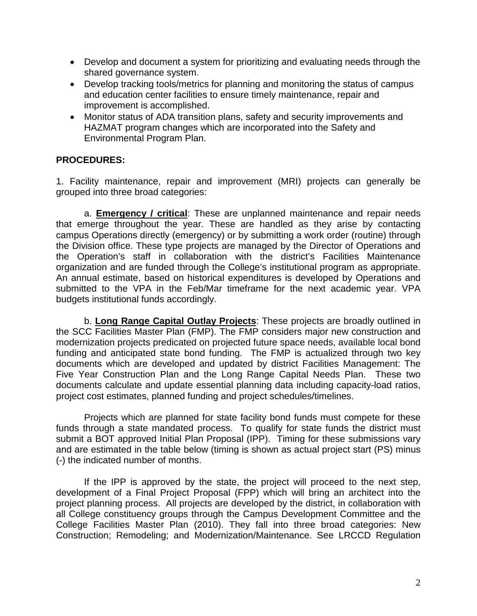- Develop and document a system for prioritizing and evaluating needs through the shared governance system.
- Develop tracking tools/metrics for planning and monitoring the status of campus and education center facilities to ensure timely maintenance, repair and improvement is accomplished.
- Monitor status of ADA transition plans, safety and security improvements and HAZMAT program changes which are incorporated into the Safety and Environmental Program Plan.

### **PROCEDURES:**

1. Facility maintenance, repair and improvement (MRI) projects can generally be grouped into three broad categories:

a. **Emergency / critical**: These are unplanned maintenance and repair needs that emerge throughout the year. These are handled as they arise by contacting campus Operations directly (emergency) or by submitting a work order (routine) through the Division office. These type projects are managed by the Director of Operations and the Operation's staff in collaboration with the district's Facilities Maintenance organization and are funded through the College's institutional program as appropriate. An annual estimate, based on historical expenditures is developed by Operations and submitted to the VPA in the Feb/Mar timeframe for the next academic year. VPA budgets institutional funds accordingly.

b. **Long Range Capital Outlay Projects**: These projects are broadly outlined in the SCC Facilities Master Plan (FMP). The FMP considers major new construction and modernization projects predicated on projected future space needs, available local bond funding and anticipated state bond funding. The FMP is actualized through two key documents which are developed and updated by district Facilities Management: The Five Year Construction Plan and the Long Range Capital Needs Plan. These two documents calculate and update essential planning data including capacity-load ratios, project cost estimates, planned funding and project schedules/timelines.

Projects which are planned for state facility bond funds must compete for these funds through a state mandated process. To qualify for state funds the district must submit a BOT approved Initial Plan Proposal (IPP). Timing for these submissions vary and are estimated in the table below (timing is shown as actual project start (PS) minus (-) the indicated number of months.

If the IPP is approved by the state, the project will proceed to the next step, development of a Final Project Proposal (FPP) which will bring an architect into the project planning process. All projects are developed by the district, in collaboration with all College constituency groups through the Campus Development Committee and the College Facilities Master Plan (2010). They fall into three broad categories: New Construction; Remodeling; and Modernization/Maintenance. See LRCCD Regulation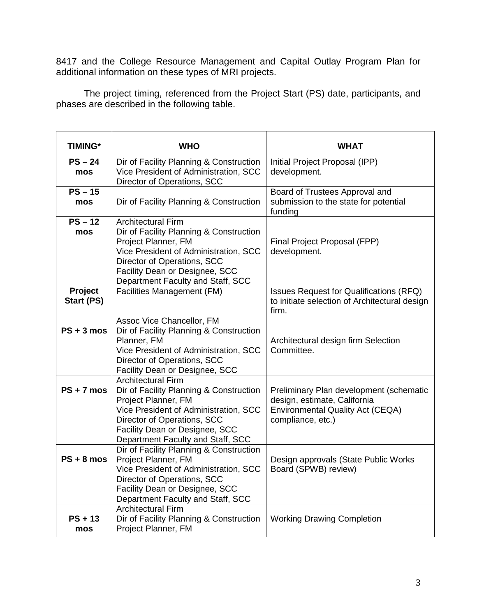8417 and the College Resource Management and Capital Outlay Program Plan for additional information on these types of MRI projects.

The project timing, referenced from the Project Start (PS) date, participants, and phases are described in the following table.

| <b>TIMING*</b>        | <b>WHO</b>                                                                                                                                                                                                                                 | <b>WHAT</b>                                                                                                                             |
|-----------------------|--------------------------------------------------------------------------------------------------------------------------------------------------------------------------------------------------------------------------------------------|-----------------------------------------------------------------------------------------------------------------------------------------|
| $PS - 24$<br>mos      | Dir of Facility Planning & Construction<br>Vice President of Administration, SCC<br>Director of Operations, SCC                                                                                                                            | Initial Project Proposal (IPP)<br>development.                                                                                          |
| $PS - 15$<br>mos      | Dir of Facility Planning & Construction                                                                                                                                                                                                    | Board of Trustees Approval and<br>submission to the state for potential<br>funding                                                      |
| $PS - 12$<br>mos      | <b>Architectural Firm</b><br>Dir of Facility Planning & Construction<br>Project Planner, FM<br>Vice President of Administration, SCC<br>Director of Operations, SCC<br>Facility Dean or Designee, SCC<br>Department Faculty and Staff, SCC | Final Project Proposal (FPP)<br>development.                                                                                            |
| Project<br>Start (PS) | Facilities Management (FM)                                                                                                                                                                                                                 | Issues Request for Qualifications (RFQ)<br>to initiate selection of Architectural design<br>firm.                                       |
| $PS + 3$ mos          | Assoc Vice Chancellor, FM<br>Dir of Facility Planning & Construction<br>Planner, FM<br>Vice President of Administration, SCC<br>Director of Operations, SCC<br>Facility Dean or Designee, SCC                                              | Architectural design firm Selection<br>Committee.                                                                                       |
| $PS + 7$ mos          | <b>Architectural Firm</b><br>Dir of Facility Planning & Construction<br>Project Planner, FM<br>Vice President of Administration, SCC<br>Director of Operations, SCC<br>Facility Dean or Designee, SCC<br>Department Faculty and Staff, SCC | Preliminary Plan development (schematic<br>design, estimate, California<br><b>Environmental Quality Act (CEQA)</b><br>compliance, etc.) |
| $PS + 8$ mos          | Dir of Facility Planning & Construction<br>Project Planner, FM<br>Vice President of Administration, SCC<br>Director of Operations, SCC<br>Facility Dean or Designee, SCC<br>Department Faculty and Staff, SCC                              | Design approvals (State Public Works<br>Board (SPWB) review)                                                                            |
| $PS + 13$<br>mos      | <b>Architectural Firm</b><br>Dir of Facility Planning & Construction<br>Project Planner, FM                                                                                                                                                | <b>Working Drawing Completion</b>                                                                                                       |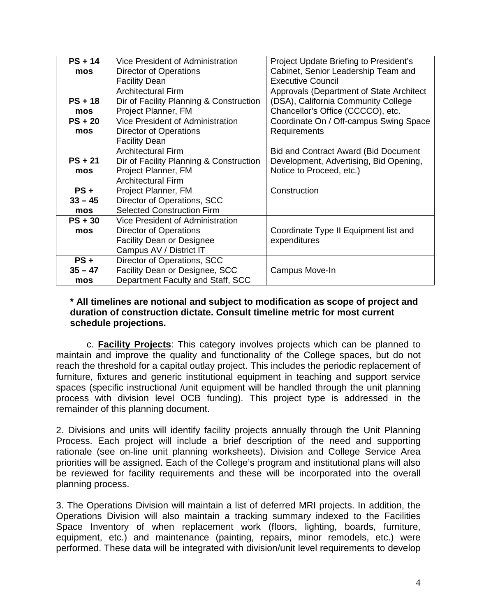| $PS + 14$ | Vice President of Administration        | Project Update Briefing to President's        |  |  |  |  |
|-----------|-----------------------------------------|-----------------------------------------------|--|--|--|--|
| mos       | Director of Operations                  | Cabinet, Senior Leadership Team and           |  |  |  |  |
|           | <b>Facility Dean</b>                    | <b>Executive Council</b>                      |  |  |  |  |
|           | <b>Architectural Firm</b>               | Approvals (Department of State Architect      |  |  |  |  |
| $PS + 18$ | Dir of Facility Planning & Construction | (DSA), California Community College           |  |  |  |  |
| mos       | Project Planner, FM                     | Chancellor's Office (CCCCO), etc.             |  |  |  |  |
| $PS + 20$ | Vice President of Administration        | Coordinate On / Off-campus Swing Space        |  |  |  |  |
| mos       | <b>Director of Operations</b>           | Requirements                                  |  |  |  |  |
|           | <b>Facility Dean</b>                    |                                               |  |  |  |  |
|           | <b>Architectural Firm</b>               | <b>Bid and Contract Award (Bid Document</b> ) |  |  |  |  |
| $PS + 21$ | Dir of Facility Planning & Construction | Development, Advertising, Bid Opening,        |  |  |  |  |
| mos       | Project Planner, FM                     | Notice to Proceed, etc.)                      |  |  |  |  |
|           | <b>Architectural Firm</b>               |                                               |  |  |  |  |
| $PS +$    | Project Planner, FM                     | Construction                                  |  |  |  |  |
| $33 - 45$ | Director of Operations, SCC             |                                               |  |  |  |  |
| mos       | <b>Selected Construction Firm</b>       |                                               |  |  |  |  |
| $PS + 30$ | Vice President of Administration        |                                               |  |  |  |  |
| mos       | <b>Director of Operations</b>           | Coordinate Type II Equipment list and         |  |  |  |  |
|           | <b>Facility Dean or Designee</b>        | expenditures                                  |  |  |  |  |
|           | Campus AV / District IT                 |                                               |  |  |  |  |
| $PS +$    | Director of Operations, SCC             |                                               |  |  |  |  |
| $35 - 47$ | Facility Dean or Designee, SCC          | Campus Move-In                                |  |  |  |  |
| mos       | Department Faculty and Staff, SCC       |                                               |  |  |  |  |

#### **\* All timelines are notional and subject to modification as scope of project and duration of construction dictate. Consult timeline metric for most current schedule projections.**

c. **Facility Projects**: This category involves projects which can be planned to maintain and improve the quality and functionality of the College spaces, but do not reach the threshold for a capital outlay project. This includes the periodic replacement of furniture, fixtures and generic institutional equipment in teaching and support service spaces (specific instructional /unit equipment will be handled through the unit planning process with division level OCB funding). This project type is addressed in the remainder of this planning document.

2. Divisions and units will identify facility projects annually through the Unit Planning Process. Each project will include a brief description of the need and supporting rationale (see on-line unit planning worksheets). Division and College Service Area priorities will be assigned. Each of the College's program and institutional plans will also be reviewed for facility requirements and these will be incorporated into the overall planning process.

3. The Operations Division will maintain a list of deferred MRI projects. In addition, the Operations Division will also maintain a tracking summary indexed to the Facilities Space Inventory of when replacement work (floors, lighting, boards, furniture, equipment, etc.) and maintenance (painting, repairs, minor remodels, etc.) were performed. These data will be integrated with division/unit level requirements to develop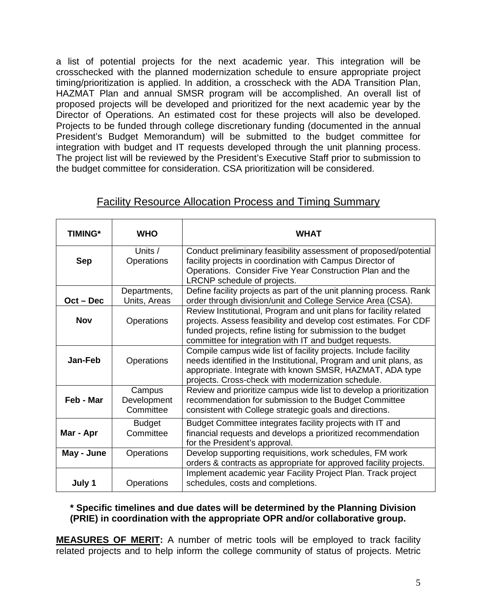a list of potential projects for the next academic year. This integration will be crosschecked with the planned modernization schedule to ensure appropriate project timing/prioritization is applied. In addition, a crosscheck with the ADA Transition Plan, HAZMAT Plan and annual SMSR program will be accomplished. An overall list of proposed projects will be developed and prioritized for the next academic year by the Director of Operations. An estimated cost for these projects will also be developed. Projects to be funded through college discretionary funding (documented in the annual President's Budget Memorandum) will be submitted to the budget committee for integration with budget and IT requests developed through the unit planning process. The project list will be reviewed by the President's Executive Staff prior to submission to the budget committee for consideration. CSA prioritization will be considered.

| TIMING*     | <b>WHO</b><br>WHAT                 |                                                                                                                                                                                                                                                                 |  |  |  |  |  |  |
|-------------|------------------------------------|-----------------------------------------------------------------------------------------------------------------------------------------------------------------------------------------------------------------------------------------------------------------|--|--|--|--|--|--|
| <b>Sep</b>  | Units /<br>Operations              | Conduct preliminary feasibility assessment of proposed/potential<br>facility projects in coordination with Campus Director of<br>Operations. Consider Five Year Construction Plan and the<br>LRCNP schedule of projects.                                        |  |  |  |  |  |  |
| $Oct - Dec$ | Departments,<br>Units, Areas       | Define facility projects as part of the unit planning process. Rank<br>order through division/unit and College Service Area (CSA).                                                                                                                              |  |  |  |  |  |  |
| <b>Nov</b>  | Operations                         | Review Institutional, Program and unit plans for facility related<br>projects. Assess feasibility and develop cost estimates. For CDF<br>funded projects, refine listing for submission to the budget<br>committee for integration with IT and budget requests. |  |  |  |  |  |  |
| Jan-Feb     | <b>Operations</b>                  | Compile campus wide list of facility projects. Include facility<br>needs identified in the Institutional, Program and unit plans, as<br>appropriate. Integrate with known SMSR, HAZMAT, ADA type<br>projects. Cross-check with modernization schedule.          |  |  |  |  |  |  |
| Feb - Mar   | Campus<br>Development<br>Committee | Review and prioritize campus wide list to develop a prioritization<br>recommendation for submission to the Budget Committee<br>consistent with College strategic goals and directions.                                                                          |  |  |  |  |  |  |
| Mar - Apr   | <b>Budget</b><br>Committee         | Budget Committee integrates facility projects with IT and<br>financial requests and develops a prioritized recommendation<br>for the President's approval.                                                                                                      |  |  |  |  |  |  |
| May - June  | Operations                         | Develop supporting requisitions, work schedules, FM work<br>orders & contracts as appropriate for approved facility projects.                                                                                                                                   |  |  |  |  |  |  |
| July 1      | Operations                         | Implement academic year Facility Project Plan. Track project<br>schedules, costs and completions.                                                                                                                                                               |  |  |  |  |  |  |

## Facility Resource Allocation Process and Timing Summary

#### **\* Specific timelines and due dates will be determined by the Planning Division (PRIE) in coordination with the appropriate OPR and/or collaborative group.**

**MEASURES OF MERIT:** A number of metric tools will be employed to track facility related projects and to help inform the college community of status of projects. Metric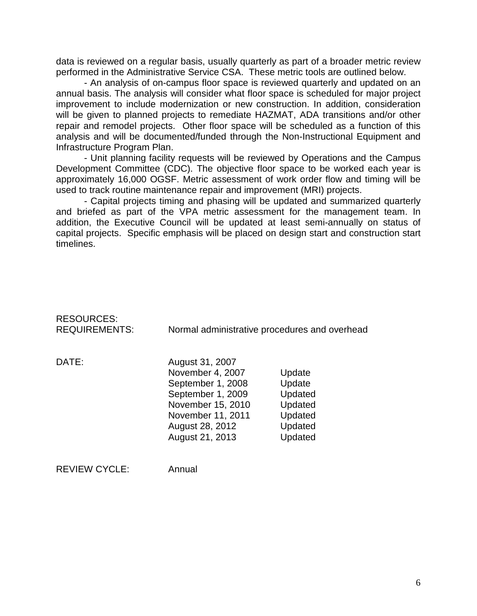data is reviewed on a regular basis, usually quarterly as part of a broader metric review performed in the Administrative Service CSA. These metric tools are outlined below.

- An analysis of on-campus floor space is reviewed quarterly and updated on an annual basis. The analysis will consider what floor space is scheduled for major project improvement to include modernization or new construction. In addition, consideration will be given to planned projects to remediate HAZMAT, ADA transitions and/or other repair and remodel projects. Other floor space will be scheduled as a function of this analysis and will be documented/funded through the Non-Instructional Equipment and Infrastructure Program Plan.

- Unit planning facility requests will be reviewed by Operations and the Campus Development Committee (CDC). The objective floor space to be worked each year is approximately 16,000 OGSF. Metric assessment of work order flow and timing will be used to track routine maintenance repair and improvement (MRI) projects.

- Capital projects timing and phasing will be updated and summarized quarterly and briefed as part of the VPA metric assessment for the management team. In addition, the Executive Council will be updated at least semi-annually on status of capital projects. Specific emphasis will be placed on design start and construction start timelines.

| <b>RESOURCES:</b><br><b>REQUIREMENTS:</b> |                                                                                                                                                               | Normal administrative procedures and overhead                           |
|-------------------------------------------|---------------------------------------------------------------------------------------------------------------------------------------------------------------|-------------------------------------------------------------------------|
| DATE:                                     | August 31, 2007<br>November 4, 2007<br>September 1, 2008<br>September 1, 2009<br>November 15, 2010<br>November 11, 2011<br>August 28, 2012<br>August 21, 2013 | Update<br>Update<br>Updated<br>Updated<br>Updated<br>Updated<br>Updated |
| <b>REVIEW CYCLE:</b>                      | Annual                                                                                                                                                        |                                                                         |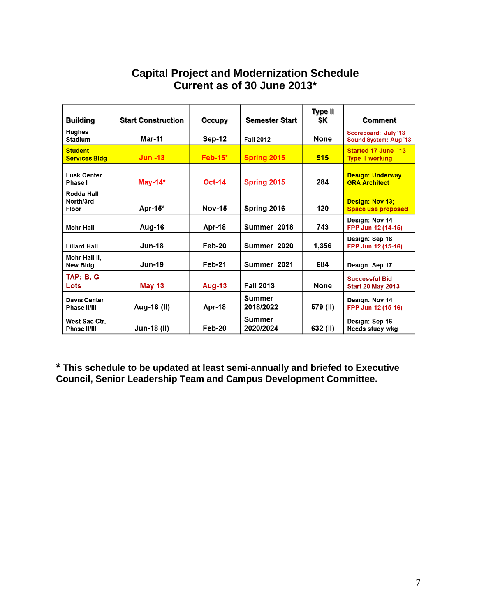| <b>Building</b>                         | <b>Start Construction</b> | <b>Occupy</b> | <b>Semester Start</b>      | Type II<br>\$K | <b>Comment</b>                                       |
|-----------------------------------------|---------------------------|---------------|----------------------------|----------------|------------------------------------------------------|
| <b>Hughes</b><br><b>Stadium</b>         | Mar-11                    | Sep-12        | <b>Fall 2012</b>           | <b>None</b>    | Scoreboard: July '13<br><b>Sound System: Aug '13</b> |
| <b>Student</b><br><b>Services Bldg</b>  | $Jun -13$                 | $Feb-15*$     | Spring 2015                | 515            | <b>Started 17 June '13</b><br><b>Type II working</b> |
| Lusk Center<br>Phase I                  | May-14 $*$                | <b>Oct-14</b> | Spring 2015                | 284            | <b>Design: Underway</b><br><b>GRA Architect</b>      |
| Rodda Hall<br>North/3rd<br><b>Floor</b> | Apr-15 $*$                | <b>Nov-15</b> | Spring 2016                | 120            | Design: Nov 13:<br><b>Space use proposed</b>         |
| <b>Mohr Hall</b>                        | Aug-16                    | Apr-18        | Summer 2018                | 743            | Design: Nov 14<br>FPP Jun 12 (14-15)                 |
| <b>Lillard Hall</b>                     | <b>Jun-18</b>             | Feb-20        | Summer 2020                | 1,356          | Design: Sep 16<br>FPP Jun 12 (15-16)                 |
| Mohr Hall II,<br><b>New Bldg</b>        | <b>Jun-19</b>             | Feb-21        | Summer 2021                | 684            | Design: Sep 17                                       |
| <b>TAP: B, G</b><br>Lots                | <b>May 13</b>             | Aug-13        | <b>Fall 2013</b>           | <b>None</b>    | <b>Successful Bid</b><br><b>Start 20 May 2013</b>    |
| Davis Center<br>Phase II/III            | Aug-16 (II)               | Apr-18        | <b>Summer</b><br>2018/2022 | 579 (II)       | Design: Nov 14<br>FPP Jun 12 (15-16)                 |
| West Sac Ctr.<br>Phase II/III           | Jun-18 (II)               | Feb-20        | <b>Summer</b><br>2020/2024 | 632 (II)       | Design: Sep 16<br>Needs study wkg                    |

## **Capital Project and Modernization Schedule Current as of 30 June 2013\***

**\* This schedule to be updated at least semi-annually and briefed to Executive Council, Senior Leadership Team and Campus Development Committee.**